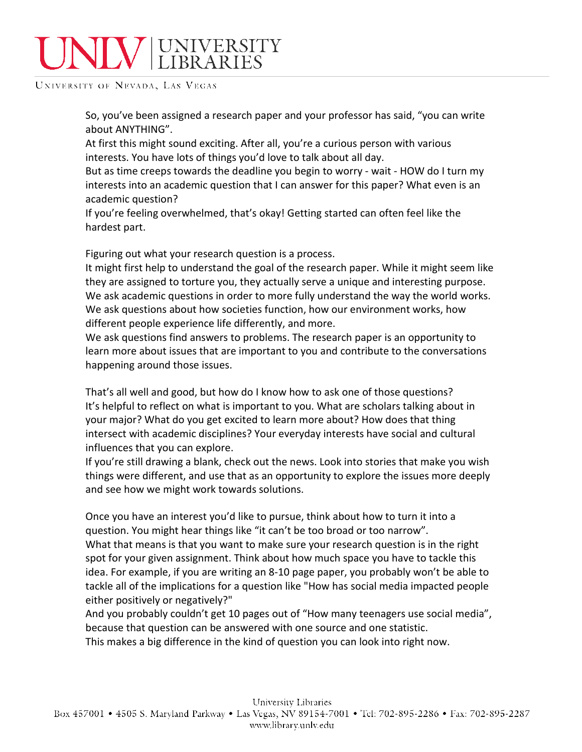## NIV UNIVERSITY

UNIVERSITY OF NEVADA, LAS VEGAS

So, you've been assigned a research paper and your professor has said, "you can write about ANYTHING".

At first this might sound exciting. After all, you're a curious person with various interests. You have lots of things you'd love to talk about all day.

But as time creeps towards the deadline you begin to worry - wait - HOW do I turn my interests into an academic question that I can answer for this paper? What even is an academic question?

If you're feeling overwhelmed, that's okay! Getting started can often feel like the hardest part.

Figuring out what your research question is a process.

It might first help to understand the goal of the research paper. While it might seem like they are assigned to torture you, they actually serve a unique and interesting purpose. We ask academic questions in order to more fully understand the way the world works. We ask questions about how societies function, how our environment works, how different people experience life differently, and more.

We ask questions find answers to problems. The research paper is an opportunity to learn more about issues that are important to you and contribute to the conversations happening around those issues.

That's all well and good, but how do I know how to ask one of those questions? It's helpful to reflect on what is important to you. What are scholars talking about in your major? What do you get excited to learn more about? How does that thing intersect with academic disciplines? Your everyday interests have social and cultural influences that you can explore.

If you're still drawing a blank, check out the news. Look into stories that make you wish things were different, and use that as an opportunity to explore the issues more deeply and see how we might work towards solutions.

Once you have an interest you'd like to pursue, think about how to turn it into a question. You might hear things like "it can't be too broad or too narrow". What that means is that you want to make sure your research question is in the right spot for your given assignment. Think about how much space you have to tackle this idea. For example, if you are writing an 8-10 page paper, you probably won't be able to tackle all of the implications for a question like "How has social media impacted people either positively or negatively?"

And you probably couldn't get 10 pages out of "How many teenagers use social media", because that question can be answered with one source and one statistic.

This makes a big difference in the kind of question you can look into right now.